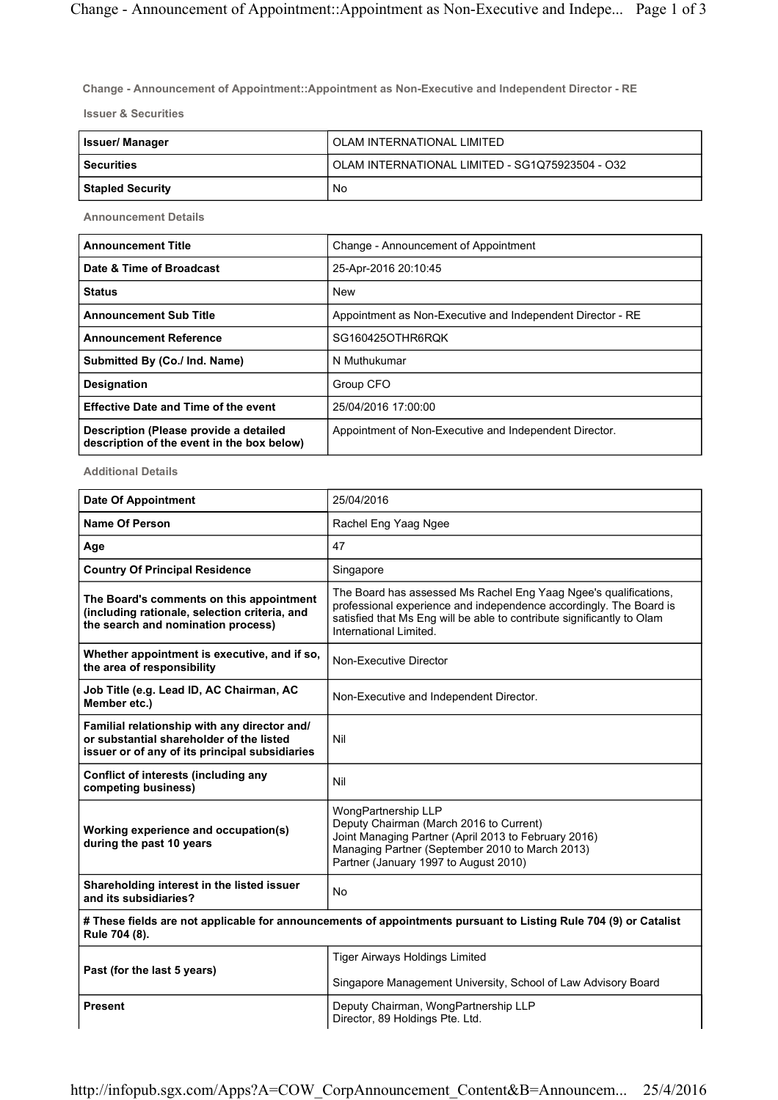Change - Announcement of Appointment::Appointment as Non-Executive and Independent Director - RE

Issuer & Securities

| Issuer/ Manager  | OLAM INTERNATIONAL LIMITED                      |
|------------------|-------------------------------------------------|
| l Securities     | OLAM INTERNATIONAL LIMITED - SG1Q75923504 - O32 |
| Stapled Security | No                                              |

Announcement Details

| <b>Announcement Title</b>                                                            | Change - Announcement of Appointment                       |
|--------------------------------------------------------------------------------------|------------------------------------------------------------|
| Date & Time of Broadcast                                                             | 25-Apr-2016 20:10:45                                       |
| <b>Status</b>                                                                        | <b>New</b>                                                 |
| <b>Announcement Sub Title</b>                                                        | Appointment as Non-Executive and Independent Director - RE |
| <b>Announcement Reference</b>                                                        | SG160425OTHR6RQK                                           |
| Submitted By (Co./ Ind. Name)                                                        | N Muthukumar                                               |
| <b>Designation</b>                                                                   | Group CFO                                                  |
| <b>Effective Date and Time of the event</b>                                          | 25/04/2016 17:00:00                                        |
| Description (Please provide a detailed<br>description of the event in the box below) | Appointment of Non-Executive and Independent Director.     |

Additional Details

| <b>Date Of Appointment</b>                                                                                                                 | 25/04/2016                                                                                                                                                                                                                                 |  |
|--------------------------------------------------------------------------------------------------------------------------------------------|--------------------------------------------------------------------------------------------------------------------------------------------------------------------------------------------------------------------------------------------|--|
| <b>Name Of Person</b>                                                                                                                      | Rachel Eng Yaag Ngee                                                                                                                                                                                                                       |  |
| Age                                                                                                                                        | 47                                                                                                                                                                                                                                         |  |
| <b>Country Of Principal Residence</b>                                                                                                      | Singapore                                                                                                                                                                                                                                  |  |
| The Board's comments on this appointment<br>(including rationale, selection criteria, and<br>the search and nomination process)            | The Board has assessed Ms Rachel Eng Yaag Ngee's qualifications,<br>professional experience and independence accordingly. The Board is<br>satisfied that Ms Eng will be able to contribute significantly to Olam<br>International Limited. |  |
| Whether appointment is executive, and if so,<br>the area of responsibility                                                                 | Non-Executive Director                                                                                                                                                                                                                     |  |
| Job Title (e.g. Lead ID, AC Chairman, AC<br>Member etc.)                                                                                   | Non-Executive and Independent Director.                                                                                                                                                                                                    |  |
| Familial relationship with any director and/<br>or substantial shareholder of the listed<br>issuer or of any of its principal subsidiaries | Nil                                                                                                                                                                                                                                        |  |
| Conflict of interests (including any<br>competing business)                                                                                | Nil                                                                                                                                                                                                                                        |  |
| Working experience and occupation(s)<br>during the past 10 years                                                                           | WongPartnership LLP<br>Deputy Chairman (March 2016 to Current)<br>Joint Managing Partner (April 2013 to February 2016)<br>Managing Partner (September 2010 to March 2013)<br>Partner (January 1997 to August 2010)                         |  |
| Shareholding interest in the listed issuer<br>and its subsidiaries?                                                                        | <b>No</b>                                                                                                                                                                                                                                  |  |
| # These fields are not applicable for announcements of appointments pursuant to Listing Rule 704 (9) or Catalist<br>Rule 704 (8).          |                                                                                                                                                                                                                                            |  |
| Past (for the last 5 years)                                                                                                                | <b>Tiger Airways Holdings Limited</b>                                                                                                                                                                                                      |  |
|                                                                                                                                            | Singapore Management University, School of Law Advisory Board                                                                                                                                                                              |  |
| <b>Present</b>                                                                                                                             | Deputy Chairman, WongPartnership LLP<br>Director, 89 Holdings Pte. Ltd.                                                                                                                                                                    |  |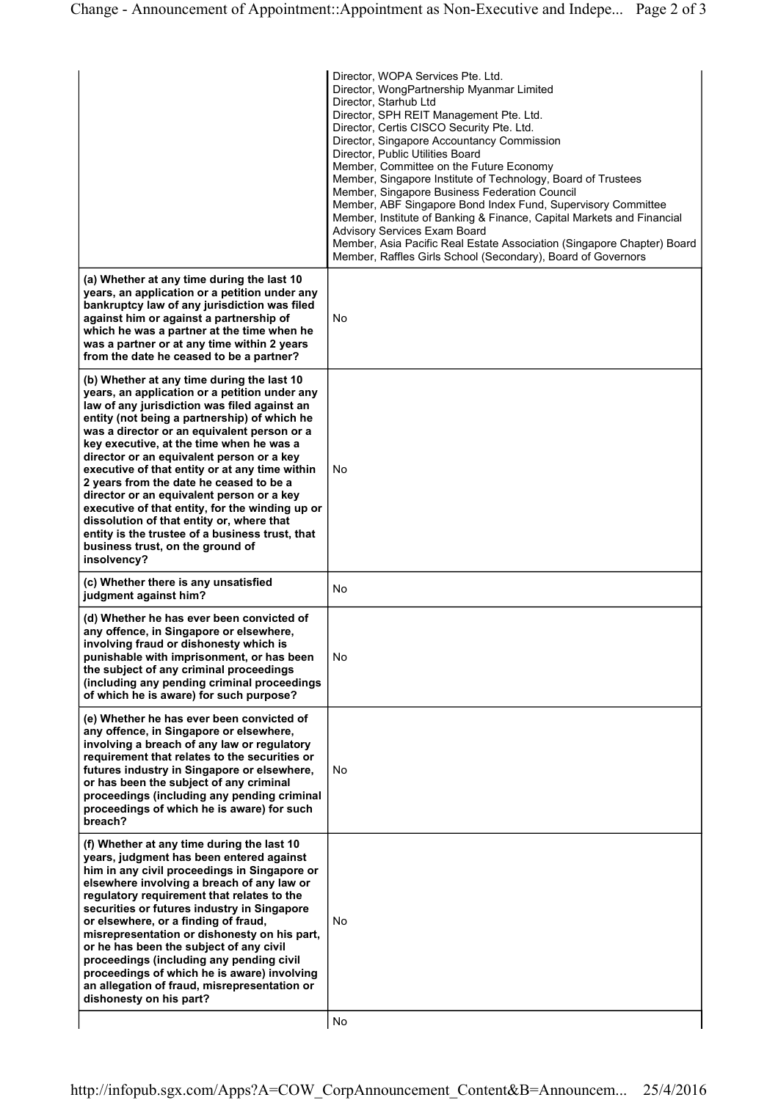|                                                                                                                                                                                                                                                                                                                                                                                                                                                                                                                                                                                                                                                                                     | Director, WOPA Services Pte. Ltd.<br>Director, WongPartnership Myanmar Limited<br>Director, Starhub Ltd<br>Director, SPH REIT Management Pte. Ltd.<br>Director, Certis CISCO Security Pte. Ltd.<br>Director, Singapore Accountancy Commission<br>Director, Public Utilities Board<br>Member, Committee on the Future Economy<br>Member, Singapore Institute of Technology, Board of Trustees<br>Member, Singapore Business Federation Council<br>Member, ABF Singapore Bond Index Fund, Supervisory Committee<br>Member, Institute of Banking & Finance, Capital Markets and Financial<br>Advisory Services Exam Board<br>Member, Asia Pacific Real Estate Association (Singapore Chapter) Board<br>Member, Raffles Girls School (Secondary), Board of Governors |
|-------------------------------------------------------------------------------------------------------------------------------------------------------------------------------------------------------------------------------------------------------------------------------------------------------------------------------------------------------------------------------------------------------------------------------------------------------------------------------------------------------------------------------------------------------------------------------------------------------------------------------------------------------------------------------------|------------------------------------------------------------------------------------------------------------------------------------------------------------------------------------------------------------------------------------------------------------------------------------------------------------------------------------------------------------------------------------------------------------------------------------------------------------------------------------------------------------------------------------------------------------------------------------------------------------------------------------------------------------------------------------------------------------------------------------------------------------------|
| (a) Whether at any time during the last 10<br>years, an application or a petition under any<br>bankruptcy law of any jurisdiction was filed<br>against him or against a partnership of<br>which he was a partner at the time when he<br>was a partner or at any time within 2 years<br>from the date he ceased to be a partner?                                                                                                                                                                                                                                                                                                                                                     | No                                                                                                                                                                                                                                                                                                                                                                                                                                                                                                                                                                                                                                                                                                                                                               |
| (b) Whether at any time during the last 10<br>years, an application or a petition under any<br>law of any jurisdiction was filed against an<br>entity (not being a partnership) of which he<br>was a director or an equivalent person or a<br>key executive, at the time when he was a<br>director or an equivalent person or a key<br>executive of that entity or at any time within<br>2 years from the date he ceased to be a<br>director or an equivalent person or a key<br>executive of that entity, for the winding up or<br>dissolution of that entity or, where that<br>entity is the trustee of a business trust, that<br>business trust, on the ground of<br>insolvency? | No                                                                                                                                                                                                                                                                                                                                                                                                                                                                                                                                                                                                                                                                                                                                                               |
| (c) Whether there is any unsatisfied<br>judgment against him?                                                                                                                                                                                                                                                                                                                                                                                                                                                                                                                                                                                                                       | No                                                                                                                                                                                                                                                                                                                                                                                                                                                                                                                                                                                                                                                                                                                                                               |
| (d) Whether he has ever been convicted of<br>any offence, in Singapore or elsewhere,<br>involving fraud or dishonesty which is<br>punishable with imprisonment, or has been<br>the subject of any criminal proceedings<br>(including any pending criminal proceedings<br>of which he is aware) for such purpose?                                                                                                                                                                                                                                                                                                                                                                    | No                                                                                                                                                                                                                                                                                                                                                                                                                                                                                                                                                                                                                                                                                                                                                               |
| (e) Whether he has ever been convicted of<br>any offence, in Singapore or elsewhere,<br>involving a breach of any law or regulatory<br>requirement that relates to the securities or<br>futures industry in Singapore or elsewhere,<br>or has been the subject of any criminal<br>proceedings (including any pending criminal<br>proceedings of which he is aware) for such<br>breach?                                                                                                                                                                                                                                                                                              | No                                                                                                                                                                                                                                                                                                                                                                                                                                                                                                                                                                                                                                                                                                                                                               |
| (f) Whether at any time during the last 10<br>years, judgment has been entered against<br>him in any civil proceedings in Singapore or<br>elsewhere involving a breach of any law or<br>regulatory requirement that relates to the<br>securities or futures industry in Singapore<br>or elsewhere, or a finding of fraud,<br>misrepresentation or dishonesty on his part,<br>or he has been the subject of any civil<br>proceedings (including any pending civil<br>proceedings of which he is aware) involving<br>an allegation of fraud, misrepresentation or<br>dishonesty on his part?                                                                                          | No<br>No                                                                                                                                                                                                                                                                                                                                                                                                                                                                                                                                                                                                                                                                                                                                                         |